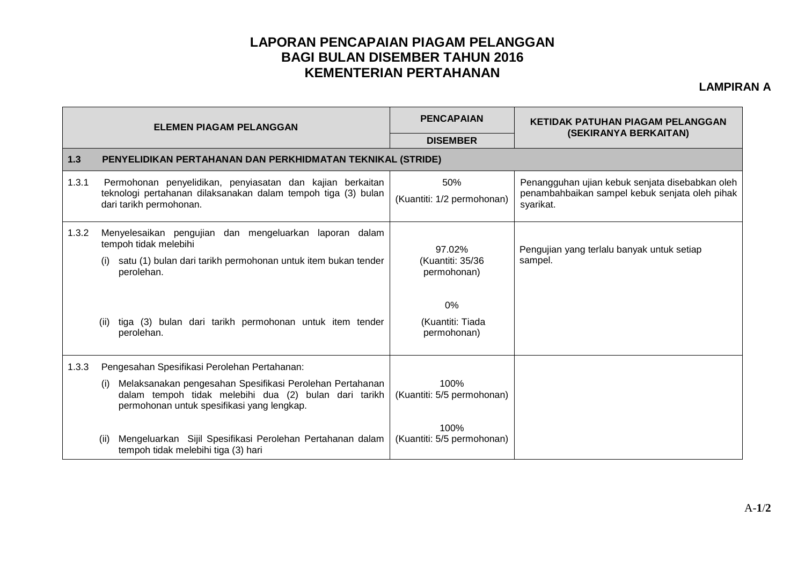## **LAPORAN PENCAPAIAN PIAGAM PELANGGAN BAGI BULAN DISEMBER TAHUN 2016 KEMENTERIAN PERTAHANAN**

## **LAMPIRAN A**

| <b>ELEMEN PIAGAM PELANGGAN</b> |                                                                                                                                                                        | <b>PENCAPAIAN</b>                         | KETIDAK PATUHAN PIAGAM PELANGGAN<br>(SEKIRANYA BERKAITAN)                                                      |  |  |  |
|--------------------------------|------------------------------------------------------------------------------------------------------------------------------------------------------------------------|-------------------------------------------|----------------------------------------------------------------------------------------------------------------|--|--|--|
|                                |                                                                                                                                                                        | <b>DISEMBER</b>                           |                                                                                                                |  |  |  |
| $1.3$                          | PENYELIDIKAN PERTAHANAN DAN PERKHIDMATAN TEKNIKAL (STRIDE)                                                                                                             |                                           |                                                                                                                |  |  |  |
| 1.3.1                          | Permohonan penyelidikan, penyiasatan dan kajian berkaitan<br>teknologi pertahanan dilaksanakan dalam tempoh tiga (3) bulan<br>dari tarikh permohonan.                  | 50%<br>(Kuantiti: 1/2 permohonan)         | Penangguhan ujian kebuk senjata disebabkan oleh<br>penambahbaikan sampel kebuk senjata oleh pihak<br>syarikat. |  |  |  |
| 1.3.2                          | Menyelesaikan pengujian dan mengeluarkan laporan dalam<br>tempoh tidak melebihi<br>satu (1) bulan dari tarikh permohonan untuk item bukan tender<br>perolehan.         | 97.02%<br>(Kuantiti: 35/36<br>permohonan) | Pengujian yang terlalu banyak untuk setiap<br>sampel.                                                          |  |  |  |
|                                | tiga (3) bulan dari tarikh permohonan untuk item tender<br>(ii)<br>perolehan.                                                                                          | $0\%$<br>(Kuantiti: Tiada<br>permohonan)  |                                                                                                                |  |  |  |
| 1.3.3                          | Pengesahan Spesifikasi Perolehan Pertahanan:                                                                                                                           |                                           |                                                                                                                |  |  |  |
|                                | Melaksanakan pengesahan Spesifikasi Perolehan Pertahanan<br>(i)<br>dalam tempoh tidak melebihi dua (2) bulan dari tarikh<br>permohonan untuk spesifikasi yang lengkap. | 100%<br>(Kuantiti: 5/5 permohonan)        |                                                                                                                |  |  |  |
|                                | Mengeluarkan Sijil Spesifikasi Perolehan Pertahanan dalam<br>(ii)<br>tempoh tidak melebihi tiga (3) hari                                                               | 100%<br>(Kuantiti: 5/5 permohonan)        |                                                                                                                |  |  |  |